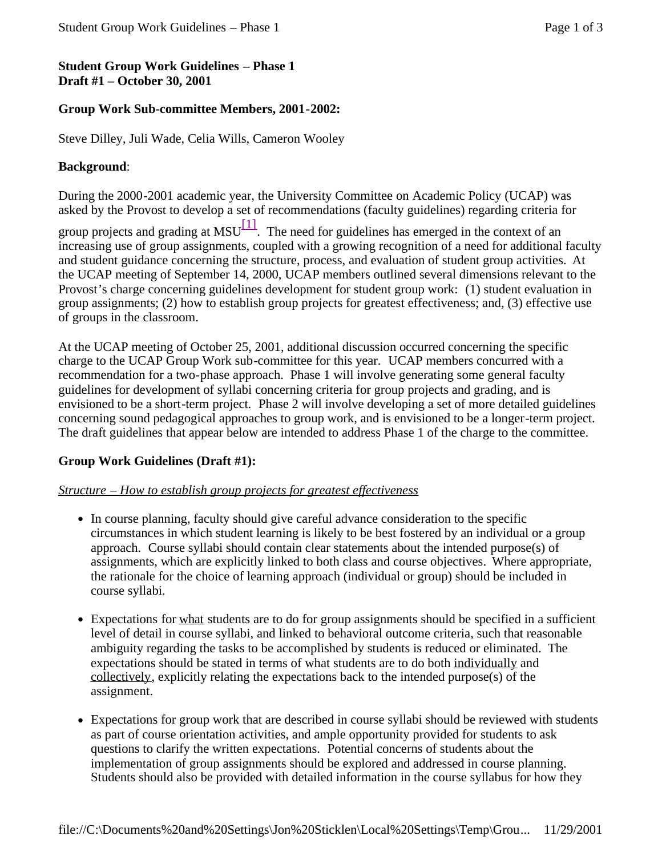# **Student Group Work Guidelines – Phase 1 Draft #1 – October 30, 2001**

## **Group Work Sub-committee Members, 2001-2002:**

Steve Dilley, Juli Wade, Celia Wills, Cameron Wooley

### **Background**:

During the 2000-2001 academic year, the University Committee on Academic Policy (UCAP) was asked by the Provost to develop a set of recommendations (faculty guidelines) regarding criteria for

group projects and grading at MSU $\left[\frac{11}{11}\right]$ . The need for guidelines has emerged in the context of an increasing use of group assignments, coupled with a growing recognition of a need for additional faculty and student guidance concerning the structure, process, and evaluation of student group activities. At the UCAP meeting of September 14, 2000, UCAP members outlined several dimensions relevant to the Provost's charge concerning guidelines development for student group work: (1) student evaluation in group assignments; (2) how to establish group projects for greatest effectiveness; and, (3) effective use of groups in the classroom.

At the UCAP meeting of October 25, 2001, additional discussion occurred concerning the specific charge to the UCAP Group Work sub-committee for this year. UCAP members concurred with a recommendation for a two-phase approach. Phase 1 will involve generating some general faculty guidelines for development of syllabi concerning criteria for group projects and grading, and is envisioned to be a short-term project. Phase 2 will involve developing a set of more detailed guidelines concerning sound pedagogical approaches to group work, and is envisioned to be a longer-term project. The draft guidelines that appear below are intended to address Phase 1 of the charge to the committee.

## **Group Work Guidelines (Draft #1):**

### *Structure – How to establish group projects for greatest effectiveness*

- In course planning, faculty should give careful advance consideration to the specific circumstances in which student learning is likely to be best fostered by an individual or a group approach. Course syllabi should contain clear statements about the intended purpose(s) of assignments, which are explicitly linked to both class and course objectives. Where appropriate, the rationale for the choice of learning approach (individual or group) should be included in course syllabi.
- Expectations for what students are to do for group assignments should be specified in a sufficient level of detail in course syllabi, and linked to behavioral outcome criteria, such that reasonable ambiguity regarding the tasks to be accomplished by students is reduced or eliminated. The expectations should be stated in terms of what students are to do both individually and collectively, explicitly relating the expectations back to the intended purpose(s) of the assignment.
- Expectations for group work that are described in course syllabi should be reviewed with students as part of course orientation activities, and ample opportunity provided for students to ask questions to clarify the written expectations. Potential concerns of students about the implementation of group assignments should be explored and addressed in course planning. Students should also be provided with detailed information in the course syllabus for how they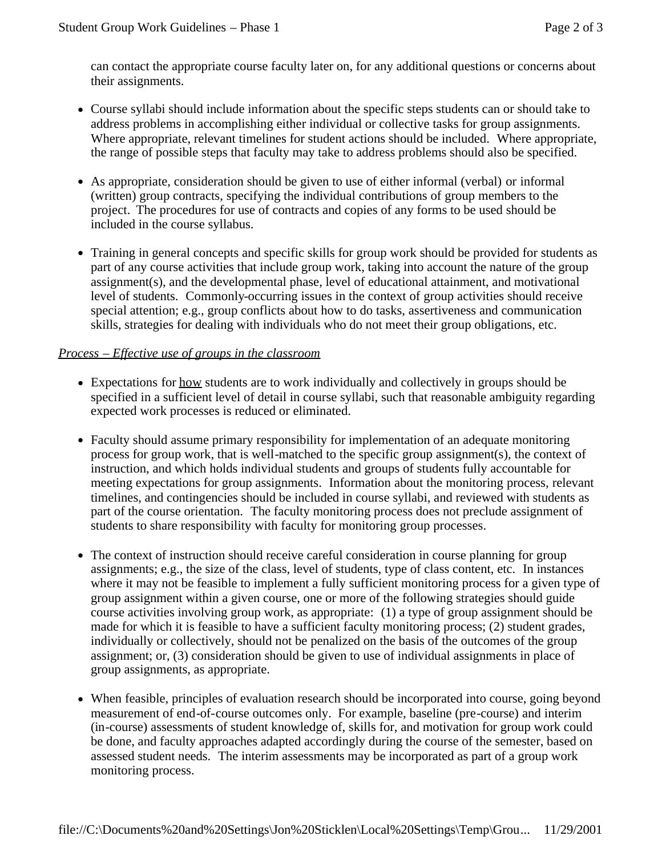can contact the appropriate course faculty later on, for any additional questions or concerns about their assignments.

- Course syllabi should include information about the specific steps students can or should take to address problems in accomplishing either individual or collective tasks for group assignments. Where appropriate, relevant timelines for student actions should be included. Where appropriate, the range of possible steps that faculty may take to address problems should also be specified.
- As appropriate, consideration should be given to use of either informal (verbal) or informal (written) group contracts, specifying the individual contributions of group members to the project. The procedures for use of contracts and copies of any forms to be used should be included in the course syllabus.
- Training in general concepts and specific skills for group work should be provided for students as part of any course activities that include group work, taking into account the nature of the group assignment(s), and the developmental phase, level of educational attainment, and motivational level of students. Commonly-occurring issues in the context of group activities should receive special attention; e.g., group conflicts about how to do tasks, assertiveness and communication skills, strategies for dealing with individuals who do not meet their group obligations, etc.

### *Process – Effective use of groups in the classroom*

- Expectations for how students are to work individually and collectively in groups should be specified in a sufficient level of detail in course syllabi, such that reasonable ambiguity regarding expected work processes is reduced or eliminated.
- Faculty should assume primary responsibility for implementation of an adequate monitoring process for group work, that is well-matched to the specific group assignment(s), the context of instruction, and which holds individual students and groups of students fully accountable for meeting expectations for group assignments. Information about the monitoring process, relevant timelines, and contingencies should be included in course syllabi, and reviewed with students as part of the course orientation. The faculty monitoring process does not preclude assignment of students to share responsibility with faculty for monitoring group processes.
- The context of instruction should receive careful consideration in course planning for group assignments; e.g., the size of the class, level of students, type of class content, etc. In instances where it may not be feasible to implement a fully sufficient monitoring process for a given type of group assignment within a given course, one or more of the following strategies should guide course activities involving group work, as appropriate: (1) a type of group assignment should be made for which it is feasible to have a sufficient faculty monitoring process; (2) student grades, individually or collectively, should not be penalized on the basis of the outcomes of the group assignment; or, (3) consideration should be given to use of individual assignments in place of group assignments, as appropriate.
- When feasible, principles of evaluation research should be incorporated into course, going beyond measurement of end-of-course outcomes only. For example, baseline (pre-course) and interim (in-course) assessments of student knowledge of, skills for, and motivation for group work could be done, and faculty approaches adapted accordingly during the course of the semester, based on assessed student needs. The interim assessments may be incorporated as part of a group work monitoring process.